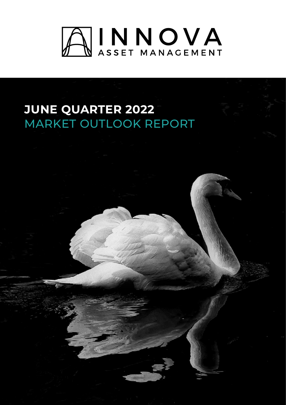

# **JUNE QUARTER 2022** MARKET OUTLOOK REPORT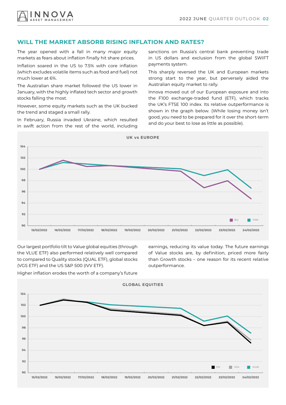# **WILL THE MARKET ABSORB RISING INFLATION AND RATES?**

The year opened with a fall in many major equity markets as fears about inflation finally hit share prices.

Inflation soared in the US to 7.5% with core inflation (which excludes volatile items such as food and fuel) not much lower at 6%.

The Australian share market followed the US lower in January, with the highly inflated tech sector and growth stocks falling the most.

However, some equity markets such as the UK bucked the trend and staged a small rally.

In February, Russia invaded Ukraine, which resulted in swift action from the rest of the world, including sanctions on Russia's central bank preventing trade in US dollars and exclusion from the global SWIFT payments system.

This sharply reversed the UK and European markets strong start to the year, but perversely aided the Australian equity market to rally.

Innova moved out of our European exposure and into the F100 exchange-traded fund (ETF), which tracks the UK's FTSE 100 index. Its relative outperformance is shown in the graph below. (While losing money isn't good, you need to be prepared for it over the short-term and do your best to lose as little as possible).



Our largest portfolio tilt to Value global equities (through the VLUE ETF) also performed relatively well compared to compared to Quality stocks (QUAL ETF), global stocks (VGS ETF) and the US S&P 500 (IVV ETF).

earnings, reducing its value today. The future earnings of Value stocks are, by definition, priced more fairly than Growth stocks – one reason for its recent relative outperformance.

Higher inflation erodes the worth of a company's future

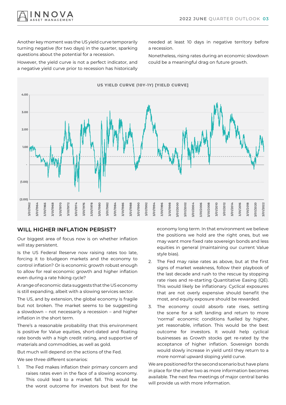

Another key moment was the US yield curve temporarily turning negative (for two days) in the quarter, sparking questions about the potential for a recession.

However, the yield curve is not a perfect indicator, and a negative yield curve prior to recession has historically

needed at least 10 days in negative territory before a recession.

Nonetheless, rising rates during an economic slowdown could be a meaningful drag on future growth.



### **WILL HIGHER INFLATION PERSIST?**

Our biggest area of focus now is on whether inflation will stay persistent.

Is the US Federal Reserve now raising rates too late, forcing it to bludgeon markets and the economy to control inflation? Or is economic growth robust enough to allow for real economic growth and higher inflation even during a rate hiking cycle?

A range of economic data suggests that the US economy is still expanding, albeit with a slowing services sector.

The US, and by extension, the global economy is fragile but not broken. The market seems to be suggesting a slowdown – not necessarily a recession – and higher inflation in the short term.

There's a reasonable probability that this environment is positive for Value equities, short-dated and floating rate bonds with a high credit rating, and supportive of materials and commodities, as well as gold.

But much will depend on the actions of the Fed.

We see three different scenarios:

1. The Fed makes inflation their primary concern and raises rates even in the face of a slowing economy. This could lead to a market fall. This would be the worst outcome for investors but best for the

economy long term. In that environment we believe the positions we hold are the right ones, but we may want more fixed rate sovereign bonds and less equities in general (maintaining our current Value style bias).

- 2. The Fed may raise rates as above, but at the first signs of market weakness, follow their playbook of the last decade and rush to the rescue by stopping rate rises and re-starting Quantitative Easing (QE). This would likely be inflationary. Cyclical exposures that are not overly expensive should benefit the most, and equity exposure should be rewarded.
- 3. The economy could absorb rate rises, setting the scene for a soft landing and return to more 'normal' economic conditions fuelled by higher, yet reasonable, inflation. This would be the best outcome for investors. It would help cyclical businesses as Growth stocks get re-rated by the acceptance of higher inflation. Sovereign bonds would slowly increase in yield until they return to a more normal upward sloping yield curve.

We are positioned for the second scenario but have plans in place for the other two as more information becomes available. The next few meetings of major central banks will provide us with more information.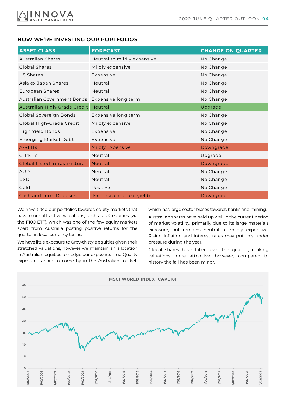

## **HOW WE'RE INVESTING OUR PORTFOLIOS**

| <b>ASSET CLASS</b>                  | <b>FORECAST</b>             | <b>CHANGE ON QUARTER</b> |
|-------------------------------------|-----------------------------|--------------------------|
| <b>Australian Shares</b>            | Neutral to mildly expensive | No Change                |
| Global Shares                       | Mildly expensive            | No Change                |
| US Shares                           | Expensive                   | No Change                |
| Asia ex Japan Shares                | Neutral                     | No Change                |
| European Shares                     | Neutral                     | No Change                |
| Australian Government Bonds         | Expensive long term         | No Change                |
| Australian High-Grade Credit        | Neutral                     | Upgrade                  |
| Global Sovereign Bonds              | Expensive long term         | No Change                |
| Global High-Grade Credit            | Mildly expensive            | No Change                |
| High Yield Bonds                    | Expensive                   | No Change                |
| <b>Emerging Market Debt</b>         | Expensive                   | No Change                |
| A-REITs                             | <b>Mildly Expensive</b>     | Downgrade                |
| G-REITS                             | Neutral                     | Upgrade                  |
| <b>Global Listed Infrastructure</b> | Neutral                     | Downgrade                |
| <b>AUD</b>                          | Neutral                     | No Change                |
| <b>USD</b>                          | Neutral                     | No Change                |
| Gold                                | Positive                    | No Change                |
| <b>Cash and Term Deposits</b>       | Expensive (no real yield)   | Downgrade                |

We have tilted our portfolios towards equity markets that have more attractive valuations, such as UK equities (via the F100 ETF), which was one of the few equity markets apart from Australia posting positive returns for the quarter in local currency terms.

We have little exposure to Growth style equities given their stretched valuations, however we maintain an allocation in Australian equities to hedge our exposure. True Quality exposure is hard to come by in the Australian market, which has large sector biases towards banks and mining.

Australian shares have held up well in the current period of market volatility, primarily due to its large materials exposure, but remains neutral to mildly expensive. Rising inflation and interest rates may put this under pressure during the year.

Global shares have fallen over the quarter, making valuations more attractive, however, compared to history the fall has been minor.